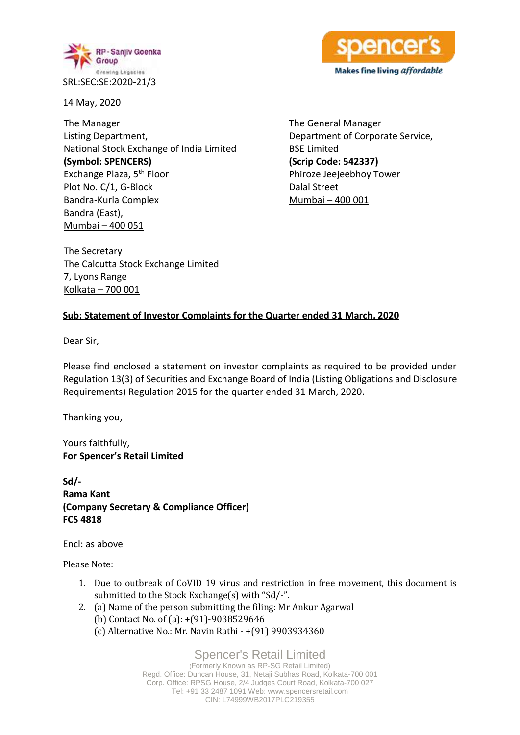

RI NGC Makes fine living affordable

14 May, 2020

The Manager Listing Department, National Stock Exchange of India Limited **(Symbol: SPENCERS)** Exchange Plaza, 5th Floor Plot No. C/1, G-Block Bandra-Kurla Complex Bandra (East), Mumbai – 400 051

The General Manager Department of Corporate Service, BSE Limited **(Scrip Code: 542337)** Phiroze Jeejeebhoy Tower Dalal Street Mumbai – 400 001

The Secretary The Calcutta Stock Exchange Limited 7, Lyons Range Kolkata – 700 001

### **Sub: Statement of Investor Complaints for the Quarter ended 31 March, 2020**

Dear Sir,

Please find enclosed a statement on investor complaints as required to be provided under Regulation 13(3) of Securities and Exchange Board of India (Listing Obligations and Disclosure Requirements) Regulation 2015 for the quarter ended 31 March, 2020.

Thanking you,

Yours faithfully, **For Spencer's Retail Limited**

**Sd/- Rama Kant (Company Secretary & Compliance Officer) FCS 4818**

Encl: as above

Please Note:

- 1. Due to outbreak of CoVID 19 virus and restriction in free movement, this document is submitted to the Stock Exchange(s) with "Sd/-".
- 2. (a) Name of the person submitting the filing: Mr Ankur Agarwal (b) Contact No. of (a): +(91)-9038529646
	- (c) Alternative No.: Mr. Navin Rathi +(91) 9903934360

Spencer's Retail Limited

(Formerly Known as RP-SG Retail Limited) Regd. Office: Duncan House, 31, Netaji Subhas Road, Kolkata-700 001 Corp. Office: RPSG House, 2/4 Judges Court Road, Kolkata-700 027 Tel: +91 33 2487 1091 Web: www.spencersretail.com CIN: L74999WB2017PLC219355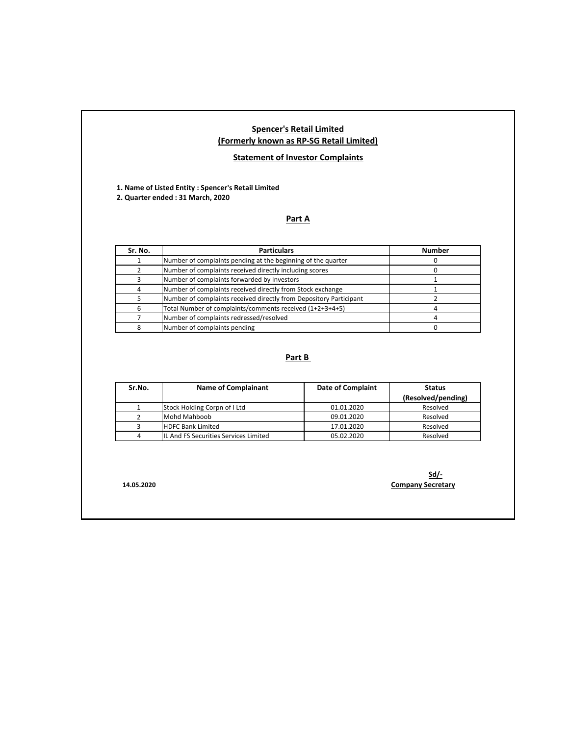#### **Spencer's Retail Limited (Formerly known as RP-SG Retail Limited)**

#### **Statement of Investor Complaints**

**1. Name of Listed Entity : Spencer's Retail Limited 2. Quarter ended : 31 March, 2020**

### **Part A**

| Sr. No. | <b>Particulars</b>                                                 | <b>Number</b> |
|---------|--------------------------------------------------------------------|---------------|
|         | Number of complaints pending at the beginning of the quarter       |               |
|         | Number of complaints received directly including scores            |               |
|         | Number of complaints forwarded by Investors                        |               |
|         | Number of complaints received directly from Stock exchange         |               |
|         | Number of complaints received directly from Depository Participant |               |
| 6       | Total Number of complaints/comments received (1+2+3+4+5)           |               |
|         | Number of complaints redressed/resolved                            |               |
|         | Number of complaints pending                                       |               |

#### **Part B**

| Sr.No. | <b>Name of Complainant</b>            | <b>Date of Complaint</b> | <b>Status</b>      |
|--------|---------------------------------------|--------------------------|--------------------|
|        |                                       |                          | (Resolved/pending) |
|        | Stock Holding Corpn of I Ltd          | 01.01.2020               | Resolved           |
|        | Mohd Mahboob                          | 09.01.2020               | Resolved           |
|        | <b>HDFC Bank Limited</b>              | 17.01.2020               | Resolved           |
|        | IL And FS Securities Services Limited | 05.02.2020               | Resolved           |

**Sd/- 14.05.2020 Company Secretary**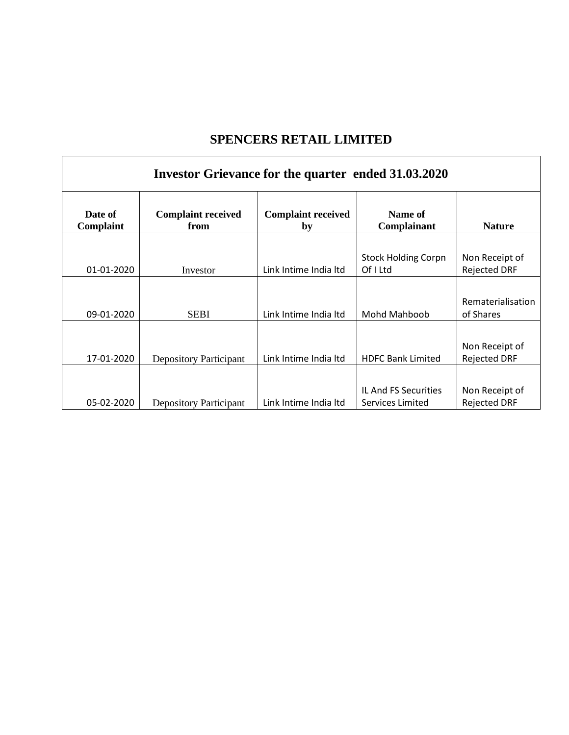# **SPENCERS RETAIL LIMITED**

 $\mathbf{r}$ 

| Investor Grievance for the quarter ended 31.03.2020 |                                   |                                 |                                          |                                       |  |  |
|-----------------------------------------------------|-----------------------------------|---------------------------------|------------------------------------------|---------------------------------------|--|--|
| Date of<br>Complaint                                | <b>Complaint received</b><br>from | <b>Complaint received</b><br>by | Name of<br>Complainant                   | <b>Nature</b>                         |  |  |
|                                                     |                                   |                                 |                                          |                                       |  |  |
| 01-01-2020                                          | Investor                          | Link Intime India Itd           | <b>Stock Holding Corpn</b><br>Of I Ltd   | Non Receipt of<br><b>Rejected DRF</b> |  |  |
|                                                     |                                   |                                 |                                          |                                       |  |  |
| 09-01-2020                                          | <b>SEBI</b>                       | Link Intime India Itd           | Mohd Mahboob                             | Rematerialisation<br>of Shares        |  |  |
|                                                     |                                   |                                 |                                          |                                       |  |  |
| 17-01-2020                                          | Depository Participant            | Link Intime India Itd           | <b>HDFC Bank Limited</b>                 | Non Receipt of<br><b>Rejected DRF</b> |  |  |
|                                                     |                                   |                                 |                                          |                                       |  |  |
| 05-02-2020                                          | Depository Participant            | Link Intime India Itd           | IL And FS Securities<br>Services Limited | Non Receipt of<br><b>Rejected DRF</b> |  |  |